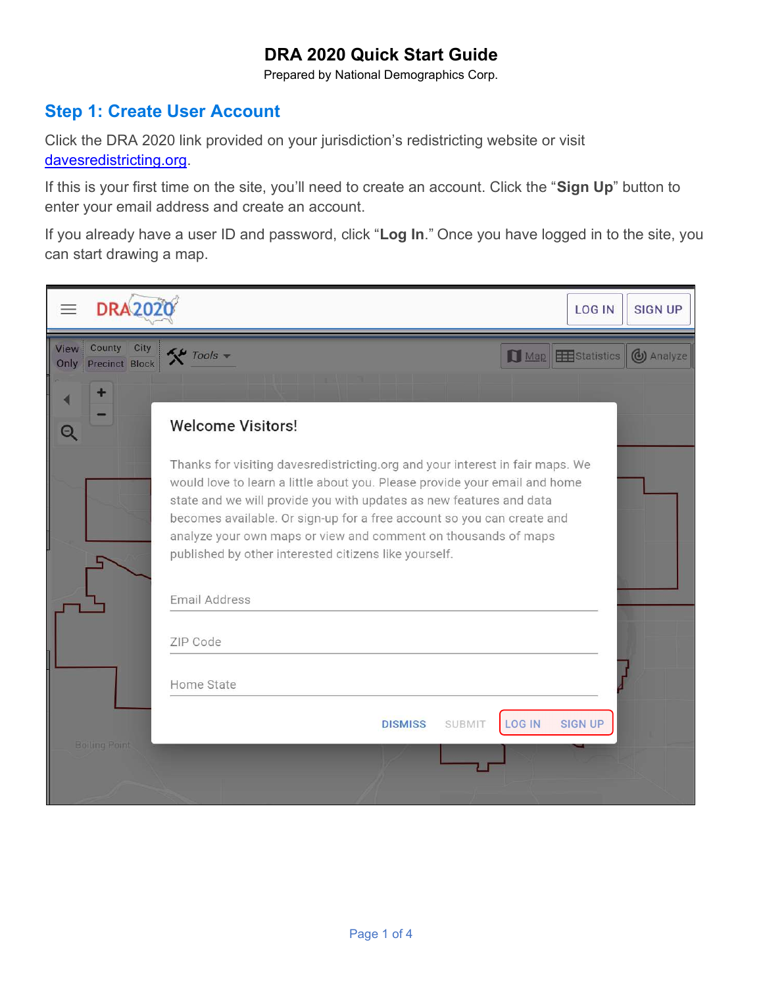Prepared by National Demographics Corp.

#### Step 1: Create User Account

Click the DRA 2020 link provided on your jurisdiction's redistricting website or visit davesredistricting.org.

If this is your first time on the site, you'll need to create an account. Click the "Sign Up" button to enter your email address and create an account.

If you already have a user ID and password, click "Log In." Once you have logged in to the site, you can start drawing a map.

| $\equiv$     | <b>DRA202</b>                                                                                                                                                                                                                                                                                                                                                                                                                           | <b>LOG IN</b>  | <b>SIGN UP</b> |
|--------------|-----------------------------------------------------------------------------------------------------------------------------------------------------------------------------------------------------------------------------------------------------------------------------------------------------------------------------------------------------------------------------------------------------------------------------------------|----------------|----------------|
| View<br>Only | County<br>City<br>$\tilde{\mathbf{X}}$ Tools $\mathbf{y}$<br>$\Box$ Map<br>Precinct Block                                                                                                                                                                                                                                                                                                                                               | Statistics     | (b) Analyze    |
|              |                                                                                                                                                                                                                                                                                                                                                                                                                                         |                |                |
|              | <b>Welcome Visitors!</b>                                                                                                                                                                                                                                                                                                                                                                                                                |                |                |
|              | Thanks for visiting davesredistricting.org and your interest in fair maps. We<br>would love to learn a little about you. Please provide your email and home<br>state and we will provide you with updates as new features and data<br>becomes available. Or sign-up for a free account so you can create and<br>analyze your own maps or view and comment on thousands of maps<br>published by other interested citizens like yourself. |                |                |
|              | Email Address                                                                                                                                                                                                                                                                                                                                                                                                                           |                |                |
|              | ZIP Code                                                                                                                                                                                                                                                                                                                                                                                                                                |                |                |
|              | Home State                                                                                                                                                                                                                                                                                                                                                                                                                              |                |                |
|              | <b>LOG IN</b><br><b>DISMISS</b><br><b>SUBMIT</b>                                                                                                                                                                                                                                                                                                                                                                                        | <b>SIGN UP</b> |                |
|              | <b>Boiling Point</b>                                                                                                                                                                                                                                                                                                                                                                                                                    |                |                |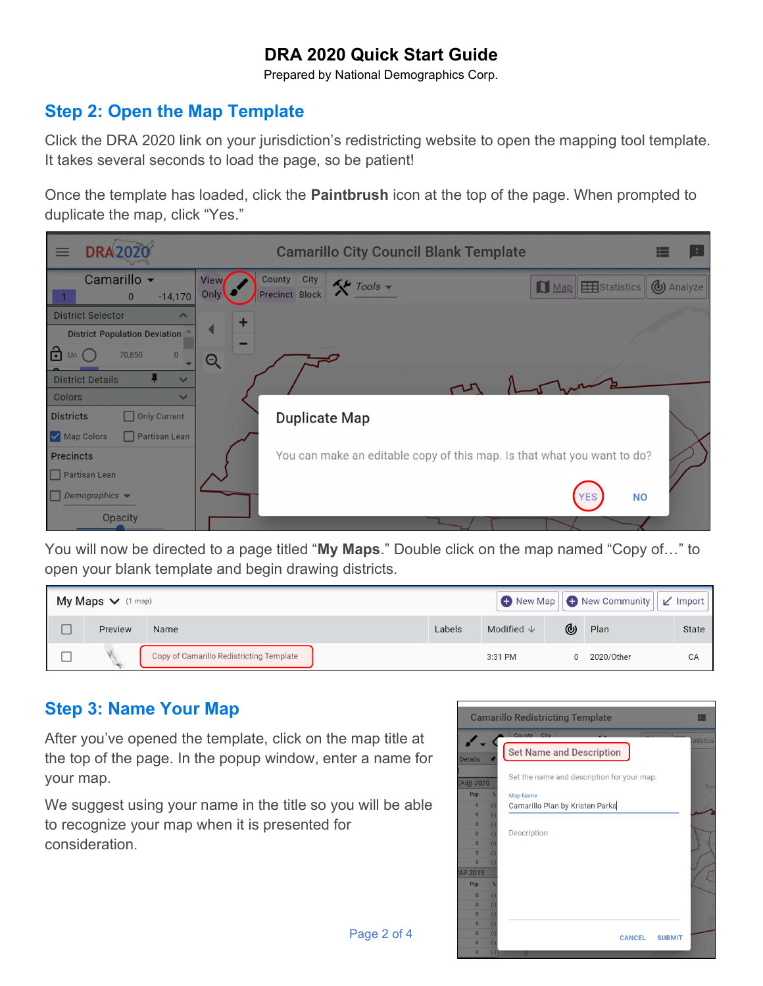Prepared by National Demographics Corp.

#### Step 2: Open the Map Template

Click the DRA 2020 link on your jurisdiction's redistricting website to open the mapping tool template. It takes several seconds to load the page, so be patient!

Once the template has loaded, click the **Paintbrush** icon at the top of the page. When prompted to duplicate the map, click "Yes."



You will now be directed to a page titled "My Maps." Double click on the map named "Copy of..." to open your blank template and begin drawing districts.

| $My Maps \vee$ (1 map) |         |                                          |        |                       | New Map   O New Community<br>$\vert \mathbf{r} \vert$ Import |            |              |  |
|------------------------|---------|------------------------------------------|--------|-----------------------|--------------------------------------------------------------|------------|--------------|--|
|                        | Preview | Name                                     | Labels | Modified $\downarrow$ | (⊌                                                           | Plan       | <b>State</b> |  |
|                        |         | Copy of Camarillo Redistricting Template |        | 3:31 PM               | $\Omega$                                                     | 2020/Other | CA           |  |

## Step 3: Name Your Map

After you've opened the template, click on the map title at the top of the page. In the popup window, enter a name for your map.

We suggest using your name in the title so you will be able to recognize your map when it is presented for consideration.

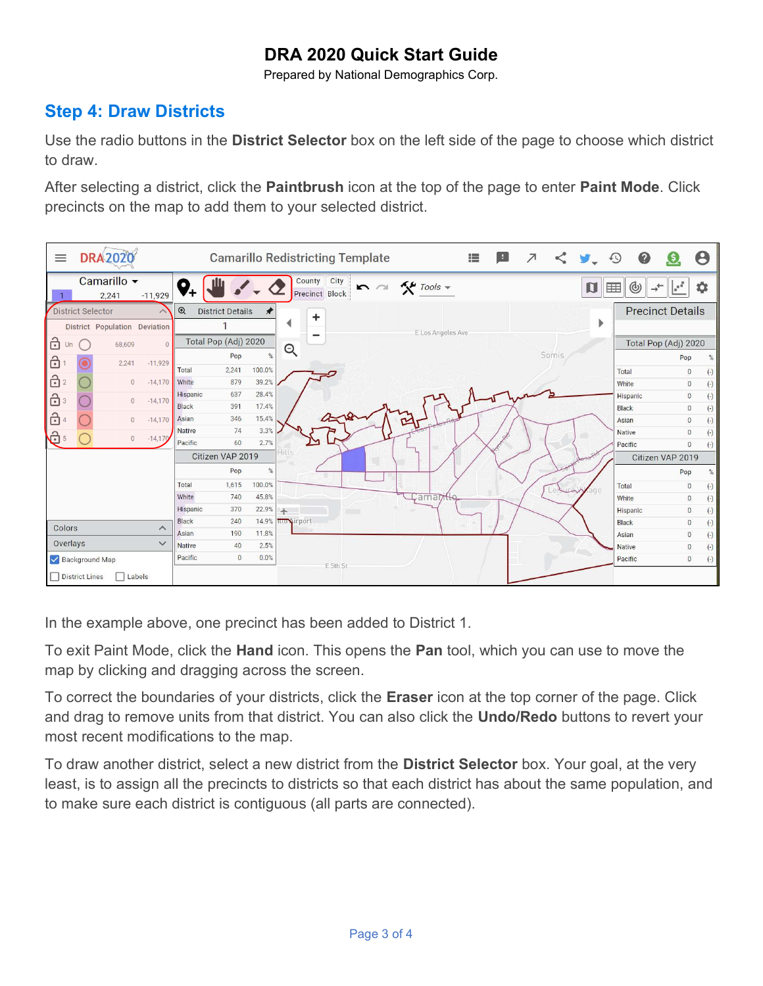Prepared by National Demographics Corp.

#### Step 4: Draw Districts

Use the radio buttons in the **District Selector** box on the left side of the page to choose which district to draw.

After selecting a district, click the **Paintbrush** icon at the top of the page to enter **Paint Mode**. Click precincts on the map to add them to your selected district.



In the example above, one precinct has been added to District 1.

To exit Paint Mode, click the Hand icon. This opens the Pan tool, which you can use to move the map by clicking and dragging across the screen.

To correct the boundaries of your districts, click the Eraser icon at the top corner of the page. Click and drag to remove units from that district. You can also click the Undo/Redo buttons to revert your most recent modifications to the map.

To draw another district, select a new district from the District Selector box. Your goal, at the very least, is to assign all the precincts to districts so that each district has about the same population, and to make sure each district is contiguous (all parts are connected).